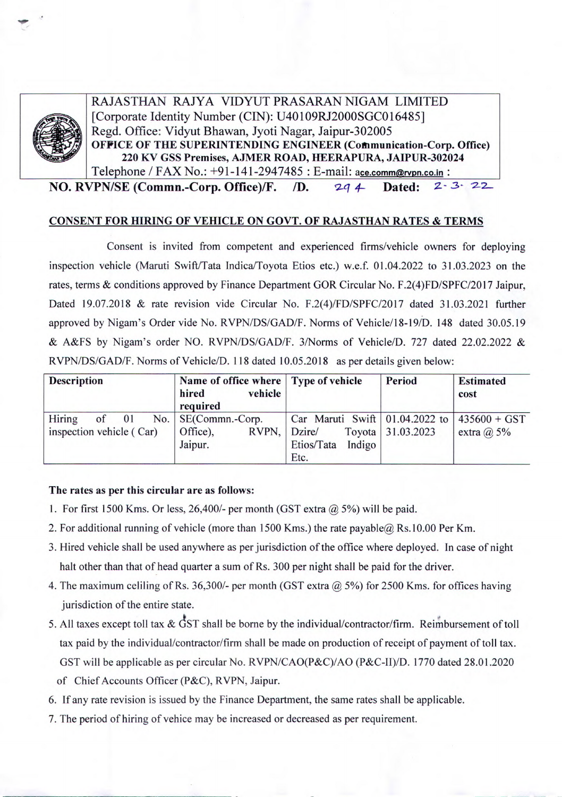

RAJASTHAN RAJYA VIDYUT PRASARAN NIGAM LIMITED [Corporate Identity Number (CIN): U40109RJ2000SGC016485] Regd. Office: Vidyut Bhawan, Jyoti Nagar, Jaipur-302005<br>**OFFICE OF THE SUPERINTENDING ENGINEER (Communication-Corp. Office) 220 KY GSS Premises, AJMER ROAD, HEERAPURA, JAIPUR-302024**  Telephone / FAX No.: +91-141-2947485 : E-mail: ace.comm@rvpn.co.in:

**NO. RVPN/SE (Commn.-Corp. Office)/F.** /D.  $2q 4$  Dated:  $2-3-22$ 

## **CONSENT FOR HIRING OF VEHICLE ON GOVT. OF RAJASTHAN RATES & TERMS**

Consent is invited from competent and experienced firms/vehicle owners for deploying inspection vehicle (Maruti Swift/Tata Indica/Toyota Etios etc.) w.e.f. 01.04.2022 to 31.03.2023 on the rates, terms & conditions approved by Finance Department GOR Circular No. F.2(4)FD/SPFC/2017 Jaipur, Dated 19.07.2018 & rate revision vide Circular No. F.2(4)/FD/SPFC/2017 dated 31.03.2021 further approved by Nigam's Order vide No. RVPN/DS/GAD/F. Norms of Vehicle/18-19/D. 148 dated 30.05.19 & A&FS by Nigam's order NO. RVPN/DS/GAD/F. 3/Norms of Vehicle/D. 727 dated 22.02.2022 & RVPN/DS/GAD/F. Norms of Vehicle/D. 118 dated 10.05.2018 as per details given below:

| <b>Description</b>                                   | Name of office where Type of vehicle<br>vehicle<br>hired<br>required |                                                                                 | Period            | <b>Estimated</b><br>cost |
|------------------------------------------------------|----------------------------------------------------------------------|---------------------------------------------------------------------------------|-------------------|--------------------------|
| Hiring<br>No.<br>$of$ 01<br>inspection vehicle (Car) | SE(Commn.-Corp.<br>RVPN, Dzire/<br>Office),<br>Jaipur.               | Car Maruti Swift   01.04.2022 to   435600 + GST<br>Etios/Tata<br>Indigo<br>Etc. | Toyota 31.03.2023 | extra $(a)$ 5%           |

## **The rates as per this circular are as follows:**

- 1. For first 1500 Kms. Or less, 26,400/- per month (GST extra *@ 5%)* will be paid.
- 2. For additional running of vehicle (more than 1500 Kms.) the rate payable@ Rs.10.00 Per Km.
- 3. Hired vehicle shall be used anywhere as per jurisdiction of the office where deployed. In case of night halt other than that of head quarter a sum of Rs. 300 per night shall be paid for the driver.
- 4. The maximum celiling of Rs. 36,300/- per month (GST extra *@ 5%)* for 2500 Kms. for offices having jurisdiction of the entire state.
- 5. All taxes except toll tax  $&$  GST shall be borne by the individual/contractor/firm. Reimbursement of toll tax paid by the individual/contractor/firm shall be made on production of receipt of payment of toll tax. GST will be applicable as per circular No. RVPN/CAO(P&C)/AO (P&C-11)/D. 1770 dated 28.01.2020 of Chief Accounts Officer (P&C), RVPN, Jaipur.
- 6. If any rate revision is issued by the Finance Department, the same rates shall be applicable.
- 7. The period of hiring of vehice may be increased or decreased as per requirement.